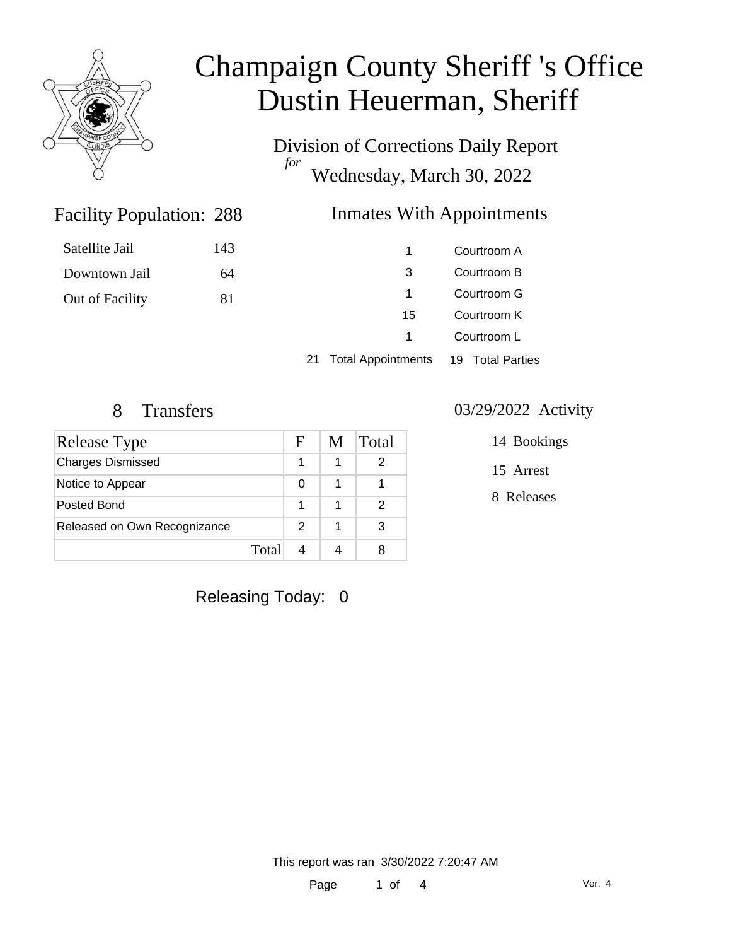

# Champaign County Sheriff 's Office Dustin Heuerman, Sheriff

Division of Corrections Daily Report *for* Wednesday, March 30, 2022

### Inmates With Appointments

| Satellite Jail  | 143 |    | Courtroom A |
|-----------------|-----|----|-------------|
| Downtown Jail   | 64  | -3 | Courtroom B |
| Out of Facility | 81  |    | Courtroom G |
|                 |     | 15 | Courtroom K |
|                 |     |    | Courtroom L |

21 Total Appointments 19 Total Parties

Facility Population: 288

| <b>Release Type</b>          |       | F | M | Total |
|------------------------------|-------|---|---|-------|
| <b>Charges Dismissed</b>     |       |   |   | 2     |
| Notice to Appear             |       | 0 |   |       |
| Posted Bond                  |       |   |   | 2     |
| Released on Own Recognizance |       | 2 | 1 | 3     |
|                              | Total |   |   |       |

#### 8 Transfers 03/29/2022 Activity

14 Bookings

15 Arrest

8 Releases

Releasing Today: 0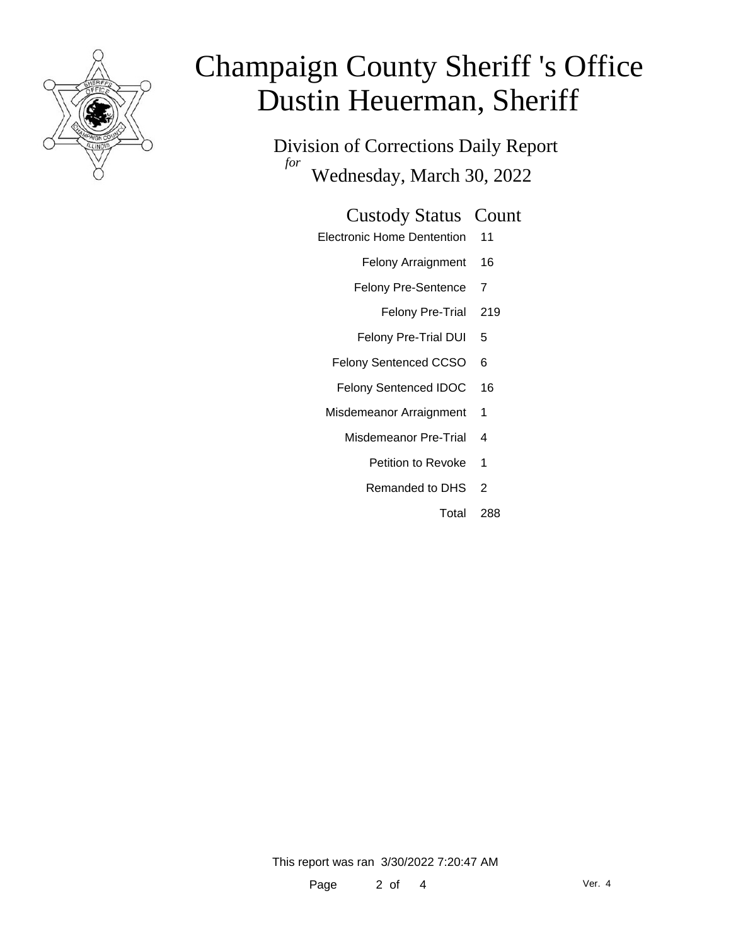

# Champaign County Sheriff 's Office Dustin Heuerman, Sheriff

Division of Corrections Daily Report *for* Wednesday, March 30, 2022

#### Custody Status Count

- Electronic Home Dentention 11
	- Felony Arraignment 16
	- Felony Pre-Sentence 7
		- Felony Pre-Trial 219
	- Felony Pre-Trial DUI 5
	- Felony Sentenced CCSO 6
	- Felony Sentenced IDOC 16
- Misdemeanor Arraignment 1
	- Misdemeanor Pre-Trial 4
		- Petition to Revoke 1
		- Remanded to DHS 2
			- Total 288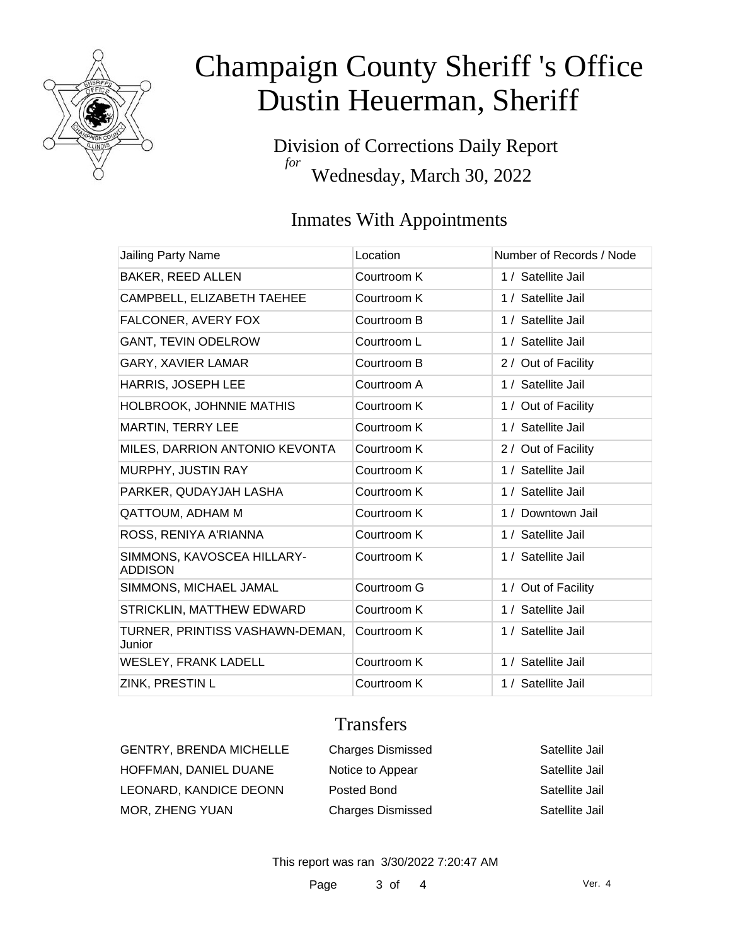

# Champaign County Sheriff 's Office Dustin Heuerman, Sheriff

Division of Corrections Daily Report *for* Wednesday, March 30, 2022

### Inmates With Appointments

| <b>Jailing Party Name</b>                    | Location    | Number of Records / Node |
|----------------------------------------------|-------------|--------------------------|
| <b>BAKER, REED ALLEN</b>                     | Courtroom K | 1 / Satellite Jail       |
| CAMPBELL, ELIZABETH TAEHEE                   | Courtroom K | 1 / Satellite Jail       |
| FALCONER, AVERY FOX                          | Courtroom B | 1 / Satellite Jail       |
| <b>GANT, TEVIN ODELROW</b>                   | Courtroom L | 1 / Satellite Jail       |
| <b>GARY, XAVIER LAMAR</b>                    | Courtroom B | 2 / Out of Facility      |
| HARRIS, JOSEPH LEE                           | Courtroom A | 1 / Satellite Jail       |
| <b>HOLBROOK, JOHNNIE MATHIS</b>              | Courtroom K | 1 / Out of Facility      |
| MARTIN, TERRY LEE                            | Courtroom K | 1 / Satellite Jail       |
| MILES, DARRION ANTONIO KEVONTA               | Courtroom K | 2 / Out of Facility      |
| MURPHY, JUSTIN RAY                           | Courtroom K | 1 / Satellite Jail       |
| PARKER, QUDAYJAH LASHA                       | Courtroom K | 1 / Satellite Jail       |
| QATTOUM, ADHAM M                             | Courtroom K | 1 / Downtown Jail        |
| ROSS, RENIYA A'RIANNA                        | Courtroom K | 1 / Satellite Jail       |
| SIMMONS, KAVOSCEA HILLARY-<br><b>ADDISON</b> | Courtroom K | 1 / Satellite Jail       |
| SIMMONS, MICHAEL JAMAL                       | Courtroom G | 1 / Out of Facility      |
| STRICKLIN, MATTHEW EDWARD                    | Courtroom K | 1 / Satellite Jail       |
| TURNER, PRINTISS VASHAWN-DEMAN,<br>Junior    | Courtroom K | 1 / Satellite Jail       |
| <b>WESLEY, FRANK LADELL</b>                  | Courtroom K | 1 / Satellite Jail       |
| ZINK, PRESTIN L                              | Courtroom K | 1 / Satellite Jail       |

### **Transfers**

| GENTRY, BRENDA MICHELLE | <b>Charges Dismissed</b> | Satellite Jail |
|-------------------------|--------------------------|----------------|
| HOFFMAN, DANIEL DUANE   | Notice to Appear         | Satellite Jail |
| LEONARD, KANDICE DEONN  | Posted Bond              | Satellite Jail |
| MOR, ZHENG YUAN         | <b>Charges Dismissed</b> | Satellite Jail |